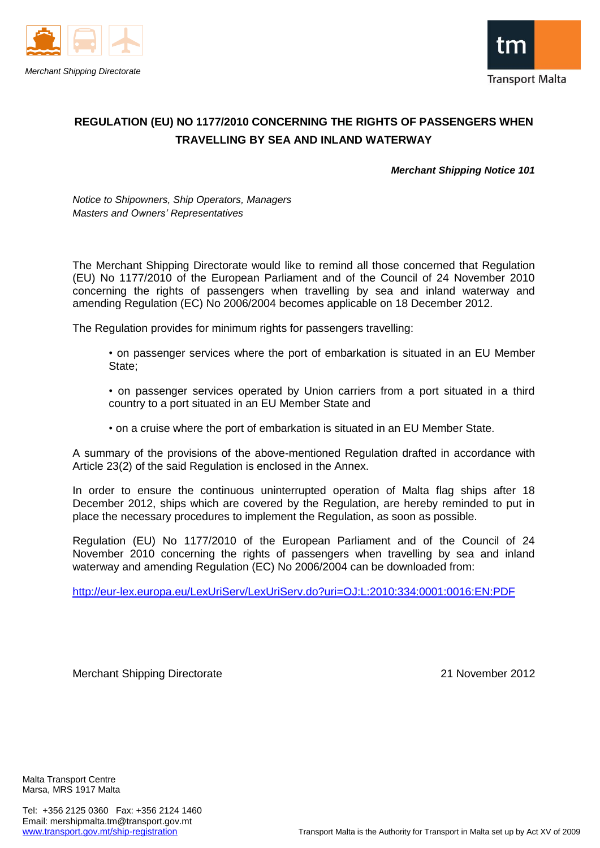



### **REGULATION (EU) NO 1177/2010 CONCERNING THE RIGHTS OF PASSENGERS WHEN TRAVELLING BY SEA AND INLAND WATERWAY**

*Merchant Shipping Notice 101*

*Notice to Shipowners, Ship Operators, Managers Masters and Owners' Representatives*

The Merchant Shipping Directorate would like to remind all those concerned that Regulation (EU) No 1177/2010 of the European Parliament and of the Council of 24 November 2010 concerning the rights of passengers when travelling by sea and inland waterway and amending Regulation (EC) No 2006/2004 becomes applicable on 18 December 2012.

The Regulation provides for minimum rights for passengers travelling:

- on passenger services where the port of embarkation is situated in an EU Member State;
- on passenger services operated by Union carriers from a port situated in a third country to a port situated in an EU Member State and
- on a cruise where the port of embarkation is situated in an EU Member State.

A summary of the provisions of the above-mentioned Regulation drafted in accordance with Article 23(2) of the said Regulation is enclosed in the Annex.

In order to ensure the continuous uninterrupted operation of Malta flag ships after 18 December 2012, ships which are covered by the Regulation, are hereby reminded to put in place the necessary procedures to implement the Regulation, as soon as possible.

Regulation (EU) No 1177/2010 of the European Parliament and of the Council of 24 November 2010 concerning the rights of passengers when travelling by sea and inland waterway and amending Regulation (EC) No 2006/2004 can be downloaded from:

<http://eur-lex.europa.eu/LexUriServ/LexUriServ.do?uri=OJ:L:2010:334:0001:0016:EN:PDF>

Merchant Shipping Directorate 2012

Malta Transport Centre Marsa, MRS 1917 Malta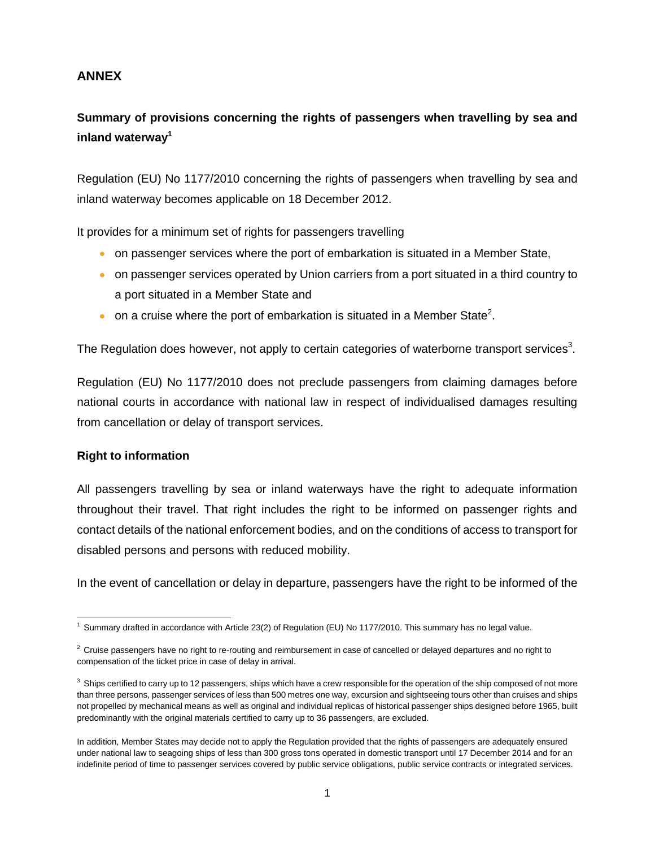### **ANNEX**

# **Summary of provisions concerning the rights of passengers when travelling by sea and inland waterway<sup>1</sup>**

Regulation (EU) No 1177/2010 concerning the rights of passengers when travelling by sea and inland waterway becomes applicable on 18 December 2012.

It provides for a minimum set of rights for passengers travelling

- on passenger services where the port of embarkation is situated in a Member State,
- on passenger services operated by Union carriers from a port situated in a third country to a port situated in a Member State and
- on a cruise where the port of embarkation is situated in a Member State<sup>2</sup>.

The Regulation does however, not apply to certain categories of waterborne transport services<sup>3</sup>.

Regulation (EU) No 1177/2010 does not preclude passengers from claiming damages before national courts in accordance with national law in respect of individualised damages resulting from cancellation or delay of transport services.

### **Right to information**

All passengers travelling by sea or inland waterways have the right to adequate information throughout their travel. That right includes the right to be informed on passenger rights and contact details of the national enforcement bodies, and on the conditions of access to transport for disabled persons and persons with reduced mobility.

In the event of cancellation or delay in departure, passengers have the right to be informed of the

l <sup>1</sup> Summary drafted in accordance with Article 23(2) of Regulation (EU) No 1177/2010. This summary has no legal value.

 $2$  Cruise passengers have no right to re-routing and reimbursement in case of cancelled or delayed departures and no right to compensation of the ticket price in case of delay in arrival.

 $3$  Ships certified to carry up to 12 passengers, ships which have a crew responsible for the operation of the ship composed of not more than three persons, passenger services of less than 500 metres one way, excursion and sightseeing tours other than cruises and ships not propelled by mechanical means as well as original and individual replicas of historical passenger ships designed before 1965, built predominantly with the original materials certified to carry up to 36 passengers, are excluded.

In addition, Member States may decide not to apply the Regulation provided that the rights of passengers are adequately ensured under national law to seagoing ships of less than 300 gross tons operated in domestic transport until 17 December 2014 and for an indefinite period of time to passenger services covered by public service obligations, public service contracts or integrated services.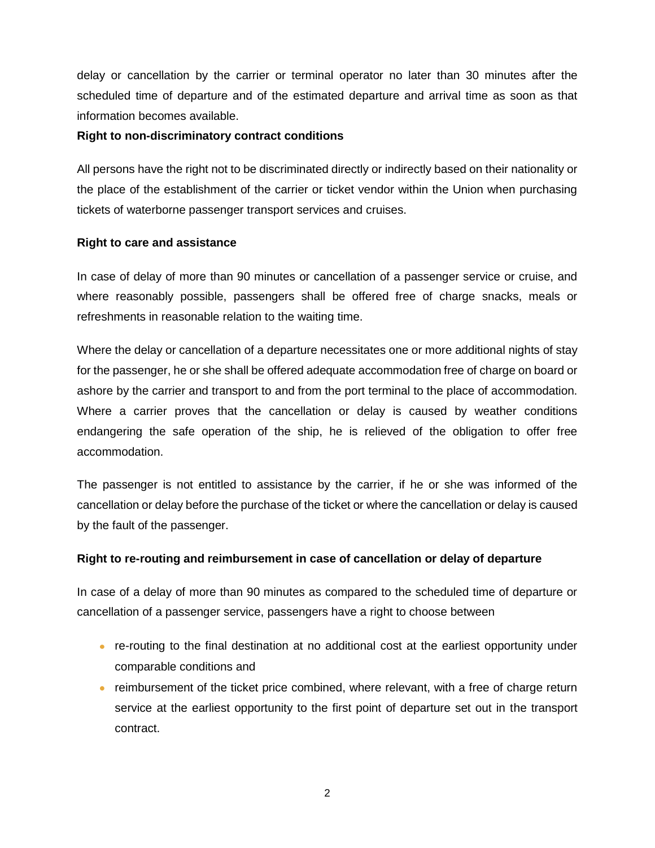delay or cancellation by the carrier or terminal operator no later than 30 minutes after the scheduled time of departure and of the estimated departure and arrival time as soon as that information becomes available.

#### **Right to non-discriminatory contract conditions**

All persons have the right not to be discriminated directly or indirectly based on their nationality or the place of the establishment of the carrier or ticket vendor within the Union when purchasing tickets of waterborne passenger transport services and cruises.

### **Right to care and assistance**

In case of delay of more than 90 minutes or cancellation of a passenger service or cruise, and where reasonably possible, passengers shall be offered free of charge snacks, meals or refreshments in reasonable relation to the waiting time.

Where the delay or cancellation of a departure necessitates one or more additional nights of stay for the passenger, he or she shall be offered adequate accommodation free of charge on board or ashore by the carrier and transport to and from the port terminal to the place of accommodation. Where a carrier proves that the cancellation or delay is caused by weather conditions endangering the safe operation of the ship, he is relieved of the obligation to offer free accommodation.

The passenger is not entitled to assistance by the carrier, if he or she was informed of the cancellation or delay before the purchase of the ticket or where the cancellation or delay is caused by the fault of the passenger.

### **Right to re-routing and reimbursement in case of cancellation or delay of departure**

In case of a delay of more than 90 minutes as compared to the scheduled time of departure or cancellation of a passenger service, passengers have a right to choose between

- re-routing to the final destination at no additional cost at the earliest opportunity under comparable conditions and
- reimbursement of the ticket price combined, where relevant, with a free of charge return service at the earliest opportunity to the first point of departure set out in the transport contract.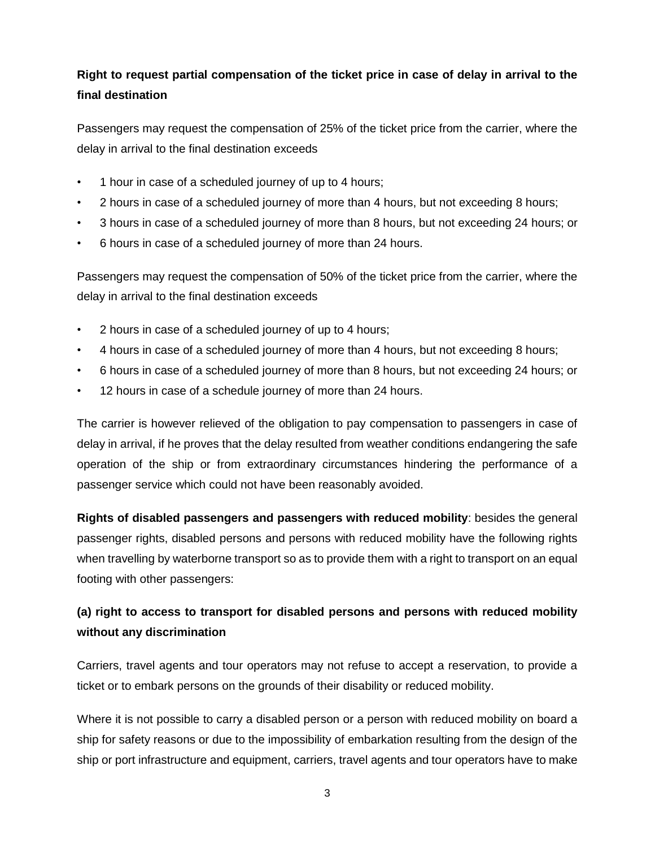# **Right to request partial compensation of the ticket price in case of delay in arrival to the final destination**

Passengers may request the compensation of 25% of the ticket price from the carrier, where the delay in arrival to the final destination exceeds

- 1 hour in case of a scheduled journey of up to 4 hours;
- 2 hours in case of a scheduled journey of more than 4 hours, but not exceeding 8 hours;
- 3 hours in case of a scheduled journey of more than 8 hours, but not exceeding 24 hours; or
- 6 hours in case of a scheduled journey of more than 24 hours.

Passengers may request the compensation of 50% of the ticket price from the carrier, where the delay in arrival to the final destination exceeds

- 2 hours in case of a scheduled journey of up to 4 hours;
- 4 hours in case of a scheduled journey of more than 4 hours, but not exceeding 8 hours;
- 6 hours in case of a scheduled journey of more than 8 hours, but not exceeding 24 hours; or
- 12 hours in case of a schedule journey of more than 24 hours.

The carrier is however relieved of the obligation to pay compensation to passengers in case of delay in arrival, if he proves that the delay resulted from weather conditions endangering the safe operation of the ship or from extraordinary circumstances hindering the performance of a passenger service which could not have been reasonably avoided.

**Rights of disabled passengers and passengers with reduced mobility**: besides the general passenger rights, disabled persons and persons with reduced mobility have the following rights when travelling by waterborne transport so as to provide them with a right to transport on an equal footing with other passengers:

# **(a) right to access to transport for disabled persons and persons with reduced mobility without any discrimination**

Carriers, travel agents and tour operators may not refuse to accept a reservation, to provide a ticket or to embark persons on the grounds of their disability or reduced mobility.

Where it is not possible to carry a disabled person or a person with reduced mobility on board a ship for safety reasons or due to the impossibility of embarkation resulting from the design of the ship or port infrastructure and equipment, carriers, travel agents and tour operators have to make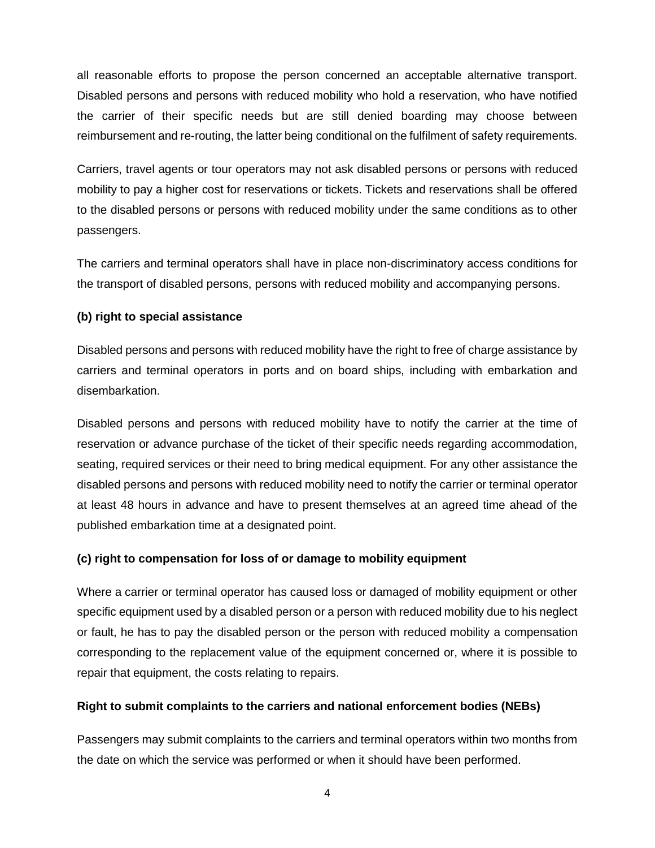all reasonable efforts to propose the person concerned an acceptable alternative transport. Disabled persons and persons with reduced mobility who hold a reservation, who have notified the carrier of their specific needs but are still denied boarding may choose between reimbursement and re-routing, the latter being conditional on the fulfilment of safety requirements.

Carriers, travel agents or tour operators may not ask disabled persons or persons with reduced mobility to pay a higher cost for reservations or tickets. Tickets and reservations shall be offered to the disabled persons or persons with reduced mobility under the same conditions as to other passengers.

The carriers and terminal operators shall have in place non-discriminatory access conditions for the transport of disabled persons, persons with reduced mobility and accompanying persons.

### **(b) right to special assistance**

Disabled persons and persons with reduced mobility have the right to free of charge assistance by carriers and terminal operators in ports and on board ships, including with embarkation and disembarkation.

Disabled persons and persons with reduced mobility have to notify the carrier at the time of reservation or advance purchase of the ticket of their specific needs regarding accommodation, seating, required services or their need to bring medical equipment. For any other assistance the disabled persons and persons with reduced mobility need to notify the carrier or terminal operator at least 48 hours in advance and have to present themselves at an agreed time ahead of the published embarkation time at a designated point.

### **(c) right to compensation for loss of or damage to mobility equipment**

Where a carrier or terminal operator has caused loss or damaged of mobility equipment or other specific equipment used by a disabled person or a person with reduced mobility due to his neglect or fault, he has to pay the disabled person or the person with reduced mobility a compensation corresponding to the replacement value of the equipment concerned or, where it is possible to repair that equipment, the costs relating to repairs.

### **Right to submit complaints to the carriers and national enforcement bodies (NEBs)**

Passengers may submit complaints to the carriers and terminal operators within two months from the date on which the service was performed or when it should have been performed.